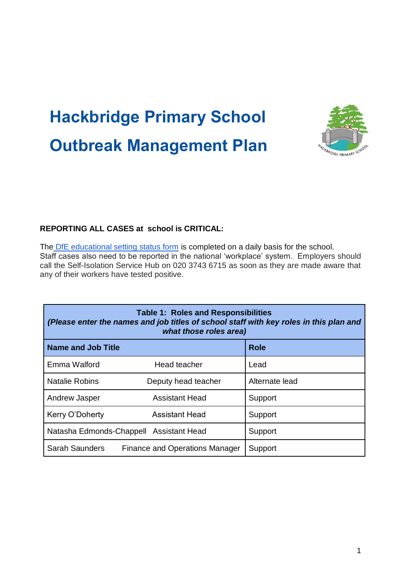## **Hackbridge Primary School Outbreak Management Plan**



## **REPORTING ALL CASES at school is CRITICAL:**

Th[e](https://onlinecollections.des.fasst.org.uk/fastform/educational-setting-status) [DfE educational setting status form](https://onlinecollections.des.fasst.org.uk/fastform/educational-setting-status) is completed on a daily basis for the school. Staff cases also need to be reported in the national 'workplace' system. Employers should call the Self-Isolation Service Hub on 020 3743 6715 as soon as they are made aware that any of their workers have tested positive.

| <b>Table 1: Roles and Responsibilities</b><br>(Please enter the names and job titles of school staff with key roles in this plan and<br>what those roles area) |                                         |                |  |
|----------------------------------------------------------------------------------------------------------------------------------------------------------------|-----------------------------------------|----------------|--|
| <b>Name and Job Title</b>                                                                                                                                      |                                         | <b>Role</b>    |  |
| Emma Walford                                                                                                                                                   | Head teacher                            | Lead           |  |
| <b>Natalie Robins</b>                                                                                                                                          | Deputy head teacher                     | Alternate lead |  |
| Andrew Jasper                                                                                                                                                  | <b>Assistant Head</b>                   | Support        |  |
| Kerry O'Doherty                                                                                                                                                | Assistant Head                          | Support        |  |
|                                                                                                                                                                | Natasha Edmonds-Chappell Assistant Head | Support        |  |
| <b>Sarah Saunders</b>                                                                                                                                          | <b>Finance and Operations Manager</b>   | Support        |  |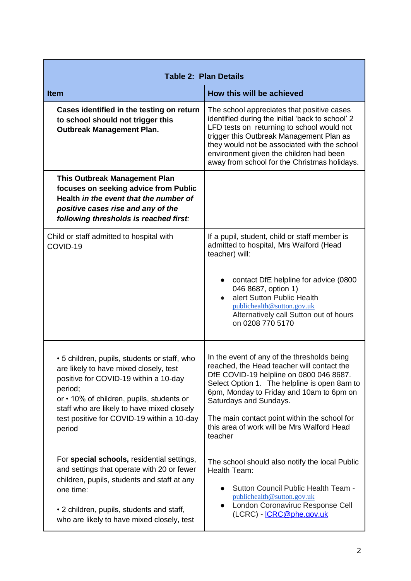| <b>Table 2: Plan Details</b>                                                                                                                                                                                                                                                                  |                                                                                                                                                                                                                                                                                                                                                                     |
|-----------------------------------------------------------------------------------------------------------------------------------------------------------------------------------------------------------------------------------------------------------------------------------------------|---------------------------------------------------------------------------------------------------------------------------------------------------------------------------------------------------------------------------------------------------------------------------------------------------------------------------------------------------------------------|
| <b>Item</b>                                                                                                                                                                                                                                                                                   | How this will be achieved                                                                                                                                                                                                                                                                                                                                           |
| Cases identified in the testing on return<br>to school should not trigger this<br><b>Outbreak Management Plan.</b>                                                                                                                                                                            | The school appreciates that positive cases<br>identified during the initial 'back to school' 2<br>LFD tests on returning to school would not<br>trigger this Outbreak Management Plan as<br>they would not be associated with the school<br>environment given the children had been<br>away from school for the Christmas holidays.                                 |
| <b>This Outbreak Management Plan</b><br>focuses on seeking advice from Public<br>Health in the event that the number of<br>positive cases rise and any of the<br>following thresholds is reached first:                                                                                       |                                                                                                                                                                                                                                                                                                                                                                     |
| Child or staff admitted to hospital with<br>COVID-19                                                                                                                                                                                                                                          | If a pupil, student, child or staff member is<br>admitted to hospital, Mrs Walford (Head<br>teacher) will:<br>contact DfE helpline for advice (0800<br>046 8687, option 1)<br>alert Sutton Public Health<br>publichealth@sutton.gov.uk<br>Alternatively call Sutton out of hours<br>on 0208 770 5170                                                                |
| • 5 children, pupils, students or staff, who<br>are likely to have mixed closely, test<br>positive for COVID-19 within a 10-day<br>period;<br>or • 10% of children, pupils, students or<br>staff who are likely to have mixed closely<br>test positive for COVID-19 within a 10-day<br>period | In the event of any of the thresholds being<br>reached, the Head teacher will contact the<br>DfE COVID-19 helpline on 0800 046 8687.<br>Select Option 1. The helpline is open 8am to<br>6pm, Monday to Friday and 10am to 6pm on<br>Saturdays and Sundays.<br>The main contact point within the school for<br>this area of work will be Mrs Walford Head<br>teacher |
| For special schools, residential settings,<br>and settings that operate with 20 or fewer<br>children, pupils, students and staff at any<br>one time:<br>• 2 children, pupils, students and staff,<br>who are likely to have mixed closely, test                                               | The school should also notify the local Public<br>Health Team:<br>Sutton Council Public Health Team -<br>publichealth@sutton.gov.uk<br>London Coronaviruc Response Cell<br>$\bullet$<br>(LCRC) - <u>ICRC@phe.gov.uk</u>                                                                                                                                             |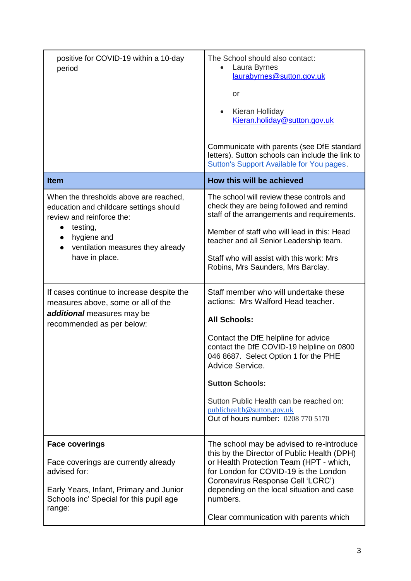| positive for COVID-19 within a 10-day<br>period                                                                                                                                                                            | The School should also contact:<br>Laura Byrnes<br>laurabyrnes@sutton.gov.uk<br>or<br>Kieran Holliday<br>$\bullet$<br>Kieran.holiday@sutton.gov.uk<br>Communicate with parents (see DfE standard<br>letters). Sutton schools can include the link to<br><b>Sutton's Support Available for You pages.</b>                                                                                    |
|----------------------------------------------------------------------------------------------------------------------------------------------------------------------------------------------------------------------------|---------------------------------------------------------------------------------------------------------------------------------------------------------------------------------------------------------------------------------------------------------------------------------------------------------------------------------------------------------------------------------------------|
| <b>Item</b>                                                                                                                                                                                                                | How this will be achieved                                                                                                                                                                                                                                                                                                                                                                   |
| When the thresholds above are reached,<br>education and childcare settings should<br>review and reinforce the:<br>testing,<br>$\bullet$<br>hygiene and<br>ventilation measures they already<br>$\bullet$<br>have in place. | The school will review these controls and<br>check they are being followed and remind<br>staff of the arrangements and requirements.<br>Member of staff who will lead in this: Head<br>teacher and all Senior Leadership team.<br>Staff who will assist with this work: Mrs<br>Robins, Mrs Saunders, Mrs Barclay.                                                                           |
| If cases continue to increase despite the<br>measures above, some or all of the<br>additional measures may be<br>recommended as per below:                                                                                 | Staff member who will undertake these<br>actions: Mrs Walford Head teacher.<br><b>All Schools:</b><br>Contact the DfE helpline for advice<br>contact the DfE COVID-19 helpline on 0800<br>046 8687. Select Option 1 for the PHE<br>Advice Service.<br><b>Sutton Schools:</b><br>Sutton Public Health can be reached on:<br>publichealth@sutton.gov.uk<br>Out of hours number: 0208 770 5170 |
| <b>Face coverings</b><br>Face coverings are currently already<br>advised for:<br>Early Years, Infant, Primary and Junior<br>Schools inc' Special for this pupil age<br>range:                                              | The school may be advised to re-introduce<br>this by the Director of Public Health (DPH)<br>or Health Protection Team (HPT - which,<br>for London for COVID-19 is the London<br>Coronavirus Response Cell 'LCRC')<br>depending on the local situation and case<br>numbers.<br>Clear communication with parents which                                                                        |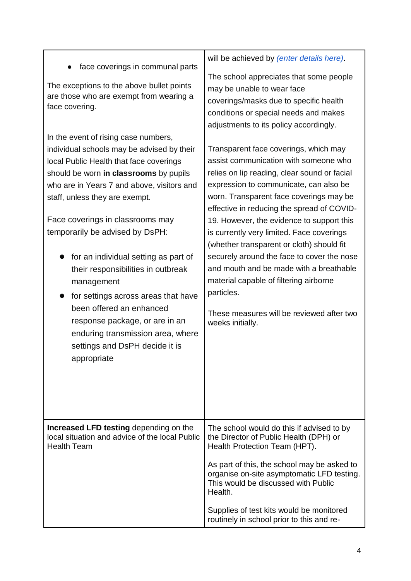| face coverings in communal parts                                                                               | will be achieved by (enter details here).                                                                                                                                                                                                                                                                                                                    |
|----------------------------------------------------------------------------------------------------------------|--------------------------------------------------------------------------------------------------------------------------------------------------------------------------------------------------------------------------------------------------------------------------------------------------------------------------------------------------------------|
| The exceptions to the above bullet points                                                                      | The school appreciates that some people                                                                                                                                                                                                                                                                                                                      |
| are those who are exempt from wearing a                                                                        | may be unable to wear face                                                                                                                                                                                                                                                                                                                                   |
| face covering.                                                                                                 | coverings/masks due to specific health                                                                                                                                                                                                                                                                                                                       |
| In the event of rising case numbers,                                                                           | conditions or special needs and makes                                                                                                                                                                                                                                                                                                                        |
| individual schools may be advised by their                                                                     | adjustments to its policy accordingly.                                                                                                                                                                                                                                                                                                                       |
| local Public Health that face coverings                                                                        | Transparent face coverings, which may                                                                                                                                                                                                                                                                                                                        |
| should be worn in classrooms by pupils                                                                         | assist communication with someone who                                                                                                                                                                                                                                                                                                                        |
| who are in Years 7 and above, visitors and                                                                     | relies on lip reading, clear sound or facial                                                                                                                                                                                                                                                                                                                 |
| staff, unless they are exempt.                                                                                 | expression to communicate, can also be                                                                                                                                                                                                                                                                                                                       |
| Face coverings in classrooms may                                                                               | worn. Transparent face coverings may be                                                                                                                                                                                                                                                                                                                      |
| temporarily be advised by DsPH:                                                                                | effective in reducing the spread of COVID-                                                                                                                                                                                                                                                                                                                   |
| for an individual setting as part of                                                                           | 19. However, the evidence to support this                                                                                                                                                                                                                                                                                                                    |
| their responsibilities in outbreak                                                                             | is currently very limited. Face coverings                                                                                                                                                                                                                                                                                                                    |
| management                                                                                                     | (whether transparent or cloth) should fit                                                                                                                                                                                                                                                                                                                    |
| for settings across areas that have                                                                            | securely around the face to cover the nose                                                                                                                                                                                                                                                                                                                   |
| been offered an enhanced                                                                                       | and mouth and be made with a breathable                                                                                                                                                                                                                                                                                                                      |
| response package, or are in an                                                                                 | material capable of filtering airborne                                                                                                                                                                                                                                                                                                                       |
| enduring transmission area, where                                                                              | particles.                                                                                                                                                                                                                                                                                                                                                   |
| settings and DsPH decide it is                                                                                 | These measures will be reviewed after two                                                                                                                                                                                                                                                                                                                    |
| appropriate                                                                                                    | weeks initially.                                                                                                                                                                                                                                                                                                                                             |
| Increased LFD testing depending on the<br>local situation and advice of the local Public<br><b>Health Team</b> | The school would do this if advised to by<br>the Director of Public Health (DPH) or<br>Health Protection Team (HPT).<br>As part of this, the school may be asked to<br>organise on-site asymptomatic LFD testing.<br>This would be discussed with Public<br>Health.<br>Supplies of test kits would be monitored<br>routinely in school prior to this and re- |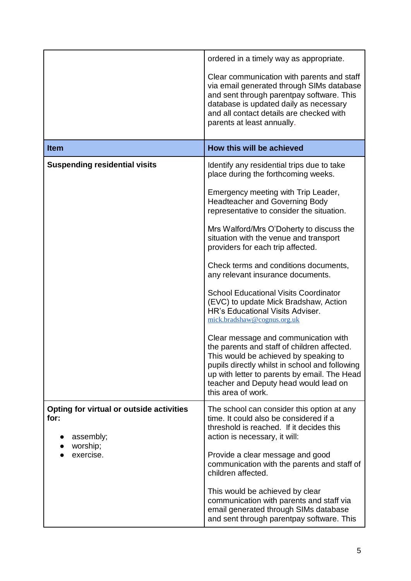|                                                                                        | ordered in a timely way as appropriate.                                                                                                                                                                                                                                                                                                                                                                                                                                                                                                                                                                                                                                                                                                                                                                                                                                                     |
|----------------------------------------------------------------------------------------|---------------------------------------------------------------------------------------------------------------------------------------------------------------------------------------------------------------------------------------------------------------------------------------------------------------------------------------------------------------------------------------------------------------------------------------------------------------------------------------------------------------------------------------------------------------------------------------------------------------------------------------------------------------------------------------------------------------------------------------------------------------------------------------------------------------------------------------------------------------------------------------------|
|                                                                                        | Clear communication with parents and staff<br>via email generated through SIMs database<br>and sent through parentpay software. This<br>database is updated daily as necessary<br>and all contact details are checked with<br>parents at least annually.                                                                                                                                                                                                                                                                                                                                                                                                                                                                                                                                                                                                                                    |
| <b>Item</b>                                                                            | How this will be achieved                                                                                                                                                                                                                                                                                                                                                                                                                                                                                                                                                                                                                                                                                                                                                                                                                                                                   |
| <b>Suspending residential visits</b>                                                   | Identify any residential trips due to take<br>place during the forthcoming weeks.<br>Emergency meeting with Trip Leader,<br><b>Headteacher and Governing Body</b><br>representative to consider the situation.<br>Mrs Walford/Mrs O'Doherty to discuss the<br>situation with the venue and transport<br>providers for each trip affected.<br>Check terms and conditions documents,<br>any relevant insurance documents.<br><b>School Educational Visits Coordinator</b><br>(EVC) to update Mick Bradshaw, Action<br><b>HR's Educational Visits Adviser.</b><br>mick.bradshaw@cognus.org.uk<br>Clear message and communication with<br>the parents and staff of children affected.<br>This would be achieved by speaking to<br>pupils directly whilst in school and following<br>up with letter to parents by email. The Head<br>teacher and Deputy head would lead on<br>this area of work. |
| Opting for virtual or outside activities<br>for:<br>assembly;<br>worship;<br>exercise. | The school can consider this option at any<br>time. It could also be considered if a<br>threshold is reached. If it decides this<br>action is necessary, it will:<br>Provide a clear message and good<br>communication with the parents and staff of<br>children affected.<br>This would be achieved by clear<br>communication with parents and staff via<br>email generated through SIMs database<br>and sent through parentpay software. This                                                                                                                                                                                                                                                                                                                                                                                                                                             |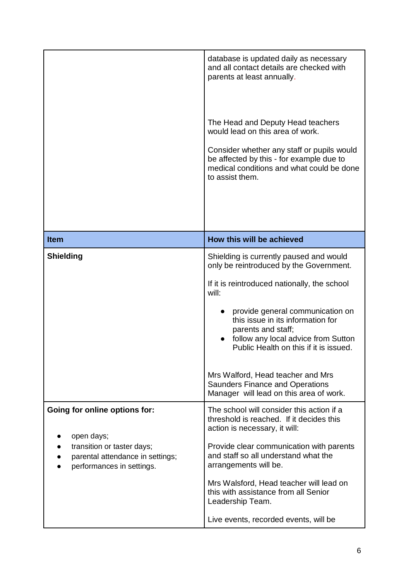|                                                                                                                                            | database is updated daily as necessary<br>and all contact details are checked with<br>parents at least annually.<br>The Head and Deputy Head teachers<br>would lead on this area of work.<br>Consider whether any staff or pupils would<br>be affected by this - for example due to<br>medical conditions and what could be done<br>to assist them.                                                                                                   |
|--------------------------------------------------------------------------------------------------------------------------------------------|-------------------------------------------------------------------------------------------------------------------------------------------------------------------------------------------------------------------------------------------------------------------------------------------------------------------------------------------------------------------------------------------------------------------------------------------------------|
| <b>Item</b>                                                                                                                                | How this will be achieved                                                                                                                                                                                                                                                                                                                                                                                                                             |
| Shielding                                                                                                                                  | Shielding is currently paused and would<br>only be reintroduced by the Government.<br>If it is reintroduced nationally, the school<br>will:<br>provide general communication on<br>this issue in its information for<br>parents and staff;<br>follow any local advice from Sutton<br>Public Health on this if it is issued.<br>Mrs Walford, Head teacher and Mrs<br><b>Saunders Finance and Operations</b><br>Manager will lead on this area of work. |
| Going for online options for:<br>open days;<br>transition or taster days;<br>parental attendance in settings;<br>performances in settings. | The school will consider this action if a<br>threshold is reached. If it decides this<br>action is necessary, it will:<br>Provide clear communication with parents<br>and staff so all understand what the<br>arrangements will be.<br>Mrs Walsford, Head teacher will lead on<br>this with assistance from all Senior<br>Leadership Team.<br>Live events, recorded events, will be                                                                   |